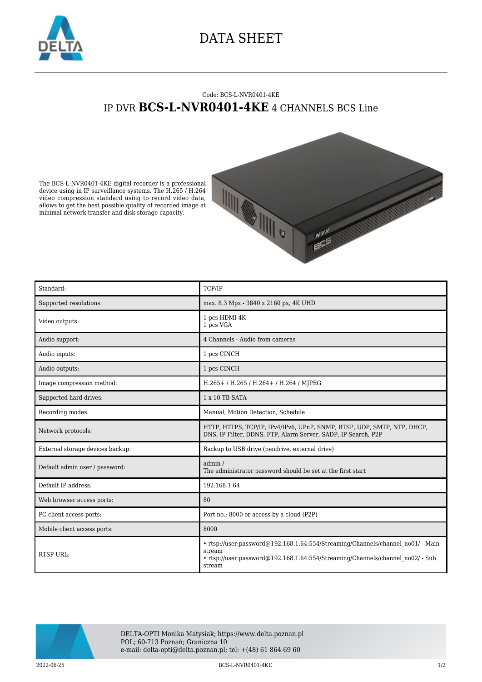

## DATA SHEET

## Code: BCS-L-NVR0401-4KE IP DVR **BCS-L-NVR0401-4KE** 4 CHANNELS BCS Line

The BCS-L-NVR0401-4KE digital recorder is a professional device using in IP surveillance systems. The H.265 / H.264 video compression standard using to record video data, allows to get the best possible quality of recorded image at minimal network transfer and disk storage capacity.



| Standard:                        | TCP/IP                                                                                                                                                                                |
|----------------------------------|---------------------------------------------------------------------------------------------------------------------------------------------------------------------------------------|
| Supported resolutions:           | max. 8.3 Mpx - 3840 x 2160 px, 4K UHD                                                                                                                                                 |
| Video outputs:                   | 1 pcs HDMI 4K<br>1 pcs VGA                                                                                                                                                            |
| Audio support:                   | 4 Channels - Audio from cameras                                                                                                                                                       |
| Audio inputs:                    | 1 pcs CINCH                                                                                                                                                                           |
| Audio outputs:                   | 1 pcs CINCH                                                                                                                                                                           |
| Image compression method:        | H.265+ / H.265 / H.264+ / H.264 / MJPEG                                                                                                                                               |
| Supported hard drives:           | 1 x 10 TB SATA                                                                                                                                                                        |
| Recording modes:                 | Manual, Motion Detection, Schedule                                                                                                                                                    |
| Network protocols:               | HTTP, HTTPS, TCP/IP, IPv4/IPv6, UPnP, SNMP, RTSP, UDP, SMTP, NTP, DHCP,<br>DNS, IP Filter, DDNS, FTP, Alarm Server, SADP, IP Search, P2P                                              |
| External storage devices backup: | Backup to USB drive (pendrive, external drive)                                                                                                                                        |
| Default admin user / password:   | $admin / -$<br>The administrator password should be set at the first start                                                                                                            |
| Default IP address:              | 192.168.1.64                                                                                                                                                                          |
| Web browser access ports:        | 80                                                                                                                                                                                    |
| PC client access ports:          | Port no.: 8000 or access by a cloud (P2P)                                                                                                                                             |
| Mobile client access ports:      | 8000                                                                                                                                                                                  |
| RTSP URL:                        | • rtsp://user:password@192.168.1.64:554/Streaming/Channels/channel no01/ - Main<br>stream<br>• rtsp://user:password@192.168.1.64:554/Streaming/Channels/channel no02/ - Sub<br>stream |